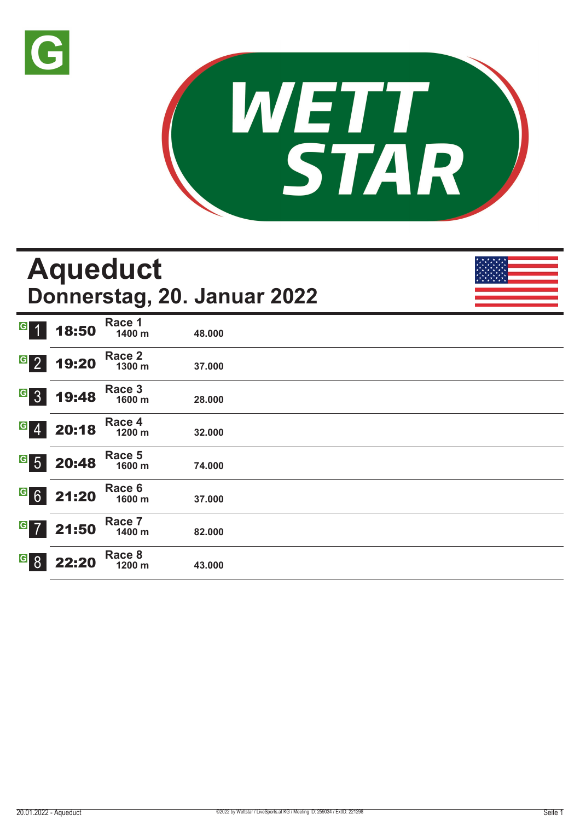



|                                                                            |       | <b>Aqueduct</b>  | Donnerstag, 20. Januar 2022 |  |
|----------------------------------------------------------------------------|-------|------------------|-----------------------------|--|
| G 1                                                                        | 18:50 | Race 1<br>1400 m | 48.000                      |  |
| $G_{2}$                                                                    | 19:20 | Race 2<br>1300 m | 37.000                      |  |
| $G_{3}$                                                                    | 19:48 | Race 3<br>1600 m | 28.000                      |  |
| $\overline{\phantom{a}}$ $\overline{4}$ $\overline{\phantom{a}}$           | 20:18 | Race 4<br>1200 m | 32.000                      |  |
| $^{\boxdot}$ 5                                                             | 20:48 | Race 5<br>1600 m | 74.000                      |  |
| $\overline{\phantom{a}}$ $\overline{\phantom{a}}$ $\overline{\phantom{a}}$ | 21:20 | Race 6<br>1600 m | 37.000                      |  |
| $G$ 7                                                                      | 21:50 | Race 7<br>1400 m | 82.000                      |  |
| <b>G</b> 8                                                                 | 22:20 | Race 8<br>1200 m | 43.000                      |  |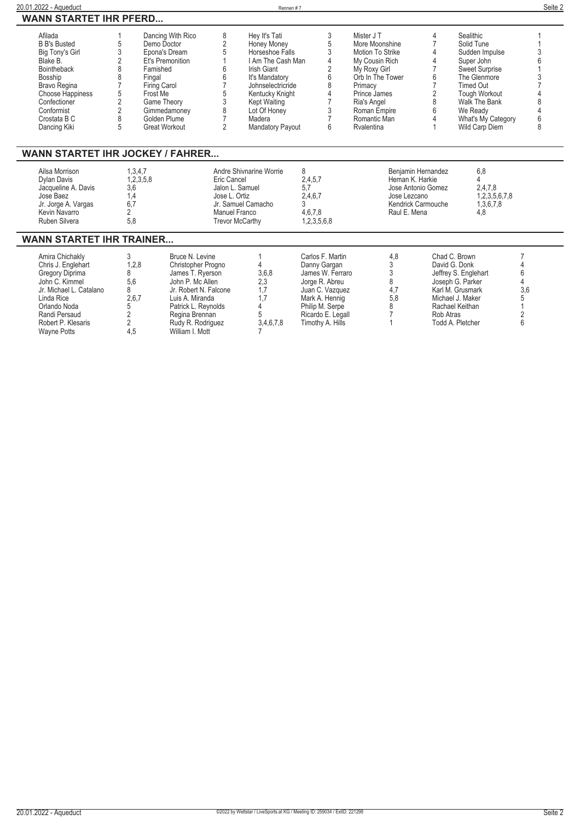| 20.01.2022 - Aqueduct                                                                                                                                                                            |                                                                                       |                                                                                                                                                                                                                              |                                                                                                     | Rennen #7                                                                                                                                                                                                          |                                                                                                                                                                         |                                                                                                                                                                                                |                                                                               |                                                                                                                                                                                                            | Seite 2                           |
|--------------------------------------------------------------------------------------------------------------------------------------------------------------------------------------------------|---------------------------------------------------------------------------------------|------------------------------------------------------------------------------------------------------------------------------------------------------------------------------------------------------------------------------|-----------------------------------------------------------------------------------------------------|--------------------------------------------------------------------------------------------------------------------------------------------------------------------------------------------------------------------|-------------------------------------------------------------------------------------------------------------------------------------------------------------------------|------------------------------------------------------------------------------------------------------------------------------------------------------------------------------------------------|-------------------------------------------------------------------------------|------------------------------------------------------------------------------------------------------------------------------------------------------------------------------------------------------------|-----------------------------------|
| <b>WANN STARTET IHR PFERD</b>                                                                                                                                                                    |                                                                                       |                                                                                                                                                                                                                              |                                                                                                     |                                                                                                                                                                                                                    |                                                                                                                                                                         |                                                                                                                                                                                                |                                                                               |                                                                                                                                                                                                            |                                   |
| Afilada<br><b>B B's Busted</b><br>Big Tony's Girl<br>Blake B.<br><b>Bointheback</b><br>Bosship<br>Bravo Regina<br>Choose Happiness<br>Confectioner<br>Conformist<br>Crostata B C<br>Dancing Kiki | 5<br>3<br>$\mathfrak{p}$<br>8<br>8<br>5<br>$\overline{2}$<br>$\overline{2}$<br>8<br>5 | Dancing With Rico<br>Demo Doctor<br>Epona's Dream<br>Et's Premonition<br>Famished<br>Fingal<br><b>Firing Carol</b><br>Frost Me<br>Game Theory<br>Gimmedamoney<br>Golden Plume<br><b>Great Workout</b>                        | 8<br>$\sqrt{2}$<br>5<br>6<br>6<br>$\overline{7}$<br>5<br>3<br>8<br>$\overline{7}$<br>$\overline{2}$ | Hey It's Tati<br>Honey Money<br>Horseshoe Falls<br>I Am The Cash Man<br>Irish Giant<br>It's Mandatory<br>Johnselectricride<br>Kentucky Knight<br><b>Kept Waiting</b><br>Lot Of Honey<br>Madera<br>Mandatory Payout | 3<br>5<br>3<br>$\overline{4}$<br>$\overline{2}$<br>6<br>8<br>4<br>7<br>3<br>6                                                                                           | Mister J T<br>More Moonshine<br>Motion To Strike<br>My Cousin Rich<br>My Roxy Girl<br>Orb In The Tower<br>Primacy<br>Prince James<br>Ria's Angel<br>Roman Empire<br>Romantic Man<br>Rvalentina | 4<br>$\overline{7}$<br>4<br>4<br>7<br>6<br>7<br>$\overline{2}$<br>8<br>6<br>Δ | Sealithic<br>Solid Tune<br>Sudden Impulse<br>Super John<br><b>Sweet Surprise</b><br>The Glenmore<br><b>Timed Out</b><br>Tough Workout<br>Walk The Bank<br>We Ready<br>What's My Category<br>Wild Carp Diem | 8                                 |
| <b>WANN STARTET IHR JOCKEY / FAHRER</b><br>Ailsa Morrison<br>Dylan Davis<br>Jacqueline A. Davis                                                                                                  | 3,6                                                                                   | 1,3,4,7<br>1,2,3,5,8                                                                                                                                                                                                         | Eric Cancel<br>Jalon L. Samuel                                                                      | Andre Shivnarine Worrie                                                                                                                                                                                            | 8<br>2,4,5,7<br>5,7                                                                                                                                                     | Heman K. Harkie                                                                                                                                                                                | Benjamin Hernandez<br>Jose Antonio Gomez                                      | 6,8<br>4<br>2,4,7,8                                                                                                                                                                                        |                                   |
| José Baez<br>Jr. Jorge A. Vargas<br>Kevin Navarro<br>Ruben Silvera                                                                                                                               | 1,4<br>6,7<br>2<br>5,8                                                                |                                                                                                                                                                                                                              | Jose L. Ortiz<br>Manuel Franco<br><b>Trevor McCarthy</b>                                            | Jr. Samuel Camacho                                                                                                                                                                                                 | 2,4,6,7<br>3<br>4,6,7,8<br>1,2,3,5,6,8                                                                                                                                  | Jose Lezcano<br>Raul E. Mena                                                                                                                                                                   | Kendrick Carmouche                                                            | 1,2,3,5,6,7,8<br>1,3,6,7,8<br>4.8                                                                                                                                                                          |                                   |
| <b>WANN STARTET IHR TRAINER</b>                                                                                                                                                                  |                                                                                       |                                                                                                                                                                                                                              |                                                                                                     |                                                                                                                                                                                                                    |                                                                                                                                                                         |                                                                                                                                                                                                |                                                                               |                                                                                                                                                                                                            |                                   |
| Amira Chichakly<br>Chris J. Englehart<br>Gregory Diprima<br>John C. Kimmel<br>Jr. Michael L. Catalano<br>Linda Rice<br>Orlando Noda<br>Randi Persaud<br>Robert P. Klesaris<br><b>Wayne Potts</b> | 3<br>8<br>5.6<br>8<br>5<br>$\overline{c}$<br>2<br>4,5                                 | Bruce N. Levine<br>1,2,8<br>Christopher Progno<br>James T. Ryerson<br>John P. Mc Allen<br>Jr. Robert N. Falcone<br>2,6,7<br>Luis A. Miranda<br>Patrick L. Reynolds<br>Regina Brennan<br>Rudy R. Rodriguez<br>William I. Mott |                                                                                                     | 3,6,8<br>2,3<br>1.7<br>1,7<br>4<br>5<br>3,4,6,7,8                                                                                                                                                                  | Carlos F. Martin<br>Danny Gargan<br>James W. Ferraro<br>Jorge R. Abreu<br>Juan C. Vazquez<br>Mark A. Hennig<br>Philip M. Serpe<br>Ricardo E. Legall<br>Timothy A. Hills | 4,8<br>3<br>3<br>8<br>4,7<br>5,8<br>8                                                                                                                                                          | Rob Atras                                                                     | Chad C. Brown<br>David G. Donk<br>Jeffrey S. Englehart<br>Joseph G. Parker<br>Karl M. Grusmark<br>Michael J. Maker<br>Rachael Keithan<br>Todd A. Pletcher                                                  | 4<br>6<br>4<br>3,6<br>5<br>2<br>6 |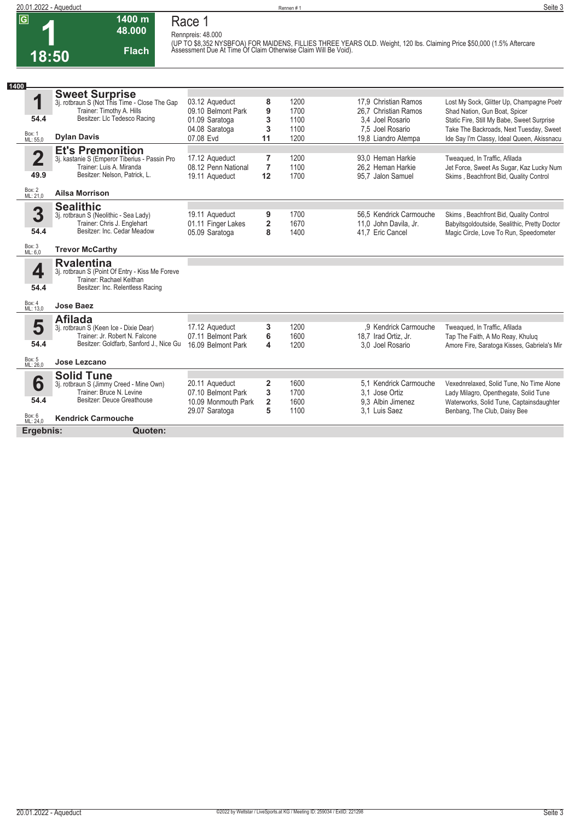**1 18:50**

## **20.01.2022 - Aqueduct** Seite 3<br> **C**<br> **C**<br> **C**<br> **C Race 1 Rennpreis: 48.000**

**1400 m 48.000** 

**Flach**

**(UP TO \$8,352 NYSBFOA) FOR MAIDENS, FILLIES THREE YEARS OLD. Weight, 120 lbs. Claiming Price \$50,000 (1.5% Aftercare Assessment Due At Time Of Claim Otherwise Claim Will Be Void).** 

| 1400                    |                                                                           |                                           |                     |              |                                               |                                                                                   |
|-------------------------|---------------------------------------------------------------------------|-------------------------------------------|---------------------|--------------|-----------------------------------------------|-----------------------------------------------------------------------------------|
|                         | <b>Sweet Surprise</b><br>3j. rotbraun S (Not This Time - Close The Gap    |                                           |                     |              |                                               |                                                                                   |
| 1                       |                                                                           | 03.12 Aqueduct                            | 8                   | 1200         | 17.9 Christian Ramos                          | Lost My Sock, Glitter Up, Champagne Poetr                                         |
|                         | Trainer: Timothy A. Hills<br>Besitzer: Llc Tedesco Racing                 | 09.10 Belmont Park                        | 9                   | 1700         | 26.7 Christian Ramos                          | Shad Nation, Gun Boat, Spicer                                                     |
| 54.4                    |                                                                           | 01.09 Saratoga                            | 3                   | 1100         | 3.4 Joel Rosario                              | Static Fire, Still My Babe, Sweet Surprise                                        |
| Box: 1<br>ML: 55,0      | <b>Dylan Davis</b>                                                        | 04.08 Saratoga                            | 3                   | 1100<br>1200 | 7.5 Joel Rosario                              | Take The Backroads, Next Tuesday, Sweet                                           |
|                         |                                                                           | 07.08 Evd                                 | 11                  |              | 19,8 Liandro Atempa                           | Ide Say I'm Classy, Ideal Queen, Akissnacu                                        |
|                         | <b>Et's Premonition</b>                                                   |                                           |                     |              |                                               |                                                                                   |
| $\overline{\mathbf{2}}$ | 3j. kastanie S (Emperor Tiberius - Passin Pro<br>Trainer: Luis A. Miranda | 17.12 Aqueduct<br>08.12 Penn National     | 7<br>$\overline{7}$ | 1200<br>1100 | 93.0 Heman Harkie<br>26.2 Heman Harkie        | Tweaqued, In Traffic, Afilada<br>Jet Force, Sweet As Sugar, Kaz Lucky Num         |
| 49.9                    | Besitzer: Nelson, Patrick, L.                                             | 19.11 Aqueduct                            | 12                  | 1700         | 95,7 Jalon Samuel                             | Skims, Beachfront Bid, Quality Control                                            |
|                         |                                                                           |                                           |                     |              |                                               |                                                                                   |
| Box: 2<br>ML: 21,0      | <b>Ailsa Morrison</b>                                                     |                                           |                     |              |                                               |                                                                                   |
|                         | <b>Sealithic</b>                                                          |                                           |                     |              |                                               |                                                                                   |
| 3                       | 3j. rotbraun S (Neolithic - Sea Lady)                                     | 19.11 Aqueduct                            | 9                   | 1700         | 56.5 Kendrick Carmouche                       | Skims, Beachfront Bid, Quality Control                                            |
|                         | Trainer: Chris J. Englehart                                               | 01.11 Finger Lakes                        | 2                   | 1670         | 11,0 John Davila, Jr.                         | Babyitsgoldoutside, Sealithic, Pretty Doctor                                      |
| 54.4                    | Besitzer: Inc. Cedar Meadow                                               | 05.09 Saratoga                            | 8                   | 1400         | 41.7 Eric Cancel                              | Magic Circle, Love To Run, Speedometer                                            |
| Box: 3<br>ML: 6,0       | <b>Trevor McCarthy</b>                                                    |                                           |                     |              |                                               |                                                                                   |
|                         | <b>Rvalentina</b>                                                         |                                           |                     |              |                                               |                                                                                   |
| 4                       | 3j. rotbraun S (Point Of Entry - Kiss Me Foreve                           |                                           |                     |              |                                               |                                                                                   |
|                         | Trainer: Rachael Keithan                                                  |                                           |                     |              |                                               |                                                                                   |
| 54.4                    | Besitzer: Inc. Relentless Racing                                          |                                           |                     |              |                                               |                                                                                   |
| Box: 4<br>ML: 13.0      | <b>Jose Baez</b>                                                          |                                           |                     |              |                                               |                                                                                   |
|                         |                                                                           |                                           |                     |              |                                               |                                                                                   |
|                         |                                                                           |                                           |                     |              |                                               |                                                                                   |
|                         | <b>Afilada</b>                                                            |                                           |                     | 1200         |                                               |                                                                                   |
| 5                       | 3j. rotbraun S (Keen Ice - Dixie Dear)<br>Trainer: Jr. Robert N. Falcone  | 17.12 Aqueduct<br>07.11 Belmont Park      | 3<br>6              | 1600         | ,9 Kendrick Carmouche<br>18,7 Irad Ortiz, Jr. | Tweaqued, In Traffic, Afilada<br>Tap The Faith, A Mo Reay, Khuluq                 |
| 54.4                    | Besitzer: Goldfarb, Sanford J., Nice Gu                                   | 16.09 Belmont Park                        | 4                   | 1200         | 3.0 Joel Rosario                              | Amore Fire, Saratoga Kisses, Gabriela's Mir                                       |
|                         |                                                                           |                                           |                     |              |                                               |                                                                                   |
| Box: 5<br>ML: 26,0      | Jose Lezcano                                                              |                                           |                     |              |                                               |                                                                                   |
|                         | <b>Solid Tune</b>                                                         |                                           |                     |              |                                               |                                                                                   |
| 6                       | 3j. rotbraun S (Jimmy Creed - Mine Own)<br>Trainer: Bruce N. Levine       | 20.11 Aqueduct                            | 2                   | 1600         | 5.1 Kendrick Carmouche                        | Vexednrelaxed, Solid Tune, No Time Alone                                          |
| 54.4                    | Besitzer: Deuce Greathouse                                                | 07.10 Belmont Park<br>10.09 Monmouth Park | 3<br>$\overline{2}$ | 1700<br>1600 | 3.1 Jose Ortiz<br>9.3 Albin Jimenez           | Lady Milagro, Openthegate, Solid Tune<br>Waterworks, Solid Tune, Captainsdaughter |
|                         |                                                                           | 29.07 Saratoga                            | 5                   | 1100         | 3.1 Luis Saez                                 | Benbang, The Club, Daisy Bee                                                      |
| Box: 6<br>ML: 24,0      | <b>Kendrick Carmouche</b>                                                 |                                           |                     |              |                                               |                                                                                   |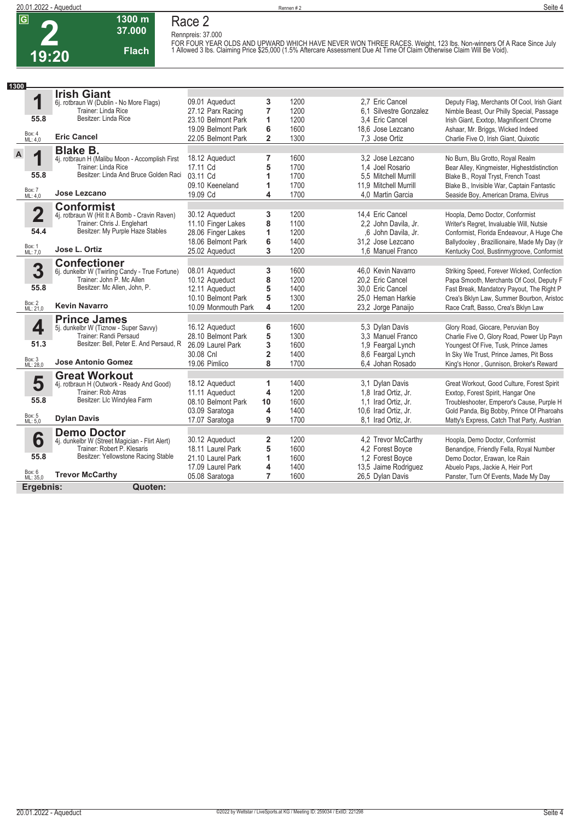**Race 2 Rennpreis: 37.000**



## **37.000 Flach**

**1300 m**

FOR FOUR YEAR OLDS AND UPWARD WHICH HAVE NEVER WON THREE RACES. Weight, 123 lbs. Non-winners Of A Race Since July<br>1 Allowed 3 lbs. Claiming Price \$25,000 (1.5% Aftercare Assessment Due At Time Of Claim Otherwise Claim Will

| 1300                    |                                                                   |                                          |                         |              |                                      |                        |                                                                                 |
|-------------------------|-------------------------------------------------------------------|------------------------------------------|-------------------------|--------------|--------------------------------------|------------------------|---------------------------------------------------------------------------------|
|                         | <b>Irish Giant</b>                                                |                                          |                         |              |                                      |                        |                                                                                 |
| 1                       | 6j. rotbraun W (Dublin - No More Flags)                           | 09.01 Aqueduct                           | 3                       | 1200         | 2.7 Eric Cancel                      |                        | Deputy Flag, Merchants Of Cool, Irish Giant                                     |
| 55.8                    | Trainer: Linda Rice<br>Besitzer: Linda Rice                       | 27.12 Parx Racing                        | $\overline{7}$          | 1200         |                                      | 6.1 Silvestre Gonzalez | Nimble Beast, Our Philly Special, Passage                                       |
|                         |                                                                   | 23.10 Belmont Park                       | 1                       | 1200         | 3.4 Eric Cancel                      |                        | Irish Giant, Exxtop, Magnificent Chrome                                         |
| Box: 4<br>ML: 4,0       | <b>Eric Cancel</b>                                                | 19.09 Belmont Park<br>22.05 Belmont Park | 6<br>$\overline{2}$     | 1600<br>1300 | 18,6 Jose Lezcano<br>7.3 Jose Ortiz  |                        | Ashaar, Mr. Briggs, Wicked Indeed<br>Charlie Five O, Irish Giant, Quixotic      |
|                         |                                                                   |                                          |                         |              |                                      |                        |                                                                                 |
| $\mathsf{A}$<br>1       | <b>Blake B.</b><br>4j. rotbraun H (Malibu Moon - Accomplish First | 18.12 Aqueduct                           | 7                       | 1600         | 3.2 Jose Lezcano                     |                        | No Burn, Blu Grotto, Royal Realm                                                |
|                         | Trainer: Linda Rice                                               | 17.11 Cd                                 | 5                       | 1700         | 1.4 Joel Rosario                     |                        | Bear Alley, Kingmeister, Highestdistinction                                     |
| 55.8                    | Besitzer: Linda And Bruce Golden Raci                             | 03.11 Cd                                 | 1                       | 1700         | 5.5 Mitchell Murrill                 |                        | Blake B., Royal Tryst, French Toast                                             |
|                         |                                                                   | 09.10 Keeneland                          | 1                       | 1700         | 11.9 Mitchell Murrill                |                        | Blake B., Invisible War, Captain Fantastic                                      |
| Box: 7<br>ML: 4,0       | Jose Lezcano                                                      | 19.09 Cd                                 | 4                       | 1700         | 4,0 Martin Garcia                    |                        | Seaside Boy, American Drama, Elvirus                                            |
|                         | <b>Conformist</b>                                                 |                                          |                         |              |                                      |                        |                                                                                 |
| $\overline{\mathbf{2}}$ | 4j. rotbraun W (Hit It A Bomb - Cravin Raven)                     | 30.12 Aqueduct                           | 3                       | 1200         | 14,4 Eric Cancel                     |                        | Hoopla, Demo Doctor, Conformist                                                 |
|                         | Trainer: Chris J. Englehart                                       | 11.10 Finger Lakes                       | 8                       | 1100         | 2,2 John Davila, Jr.                 |                        | Writer's Regret, Invaluable Will, Nutsie                                        |
| 54.4                    | Besitzer: My Purple Haze Stables                                  | 28.06 Finger Lakes                       | 1                       | 1200         |                                      | ,6 John Davila, Jr.    | Conformist, Florida Endeavour, A Huge Che                                       |
|                         |                                                                   | 18.06 Belmont Park                       | 6                       | 1400         | 31.2 Jose Lezcano                    |                        | Ballydooley, Brazillionaire, Made My Day (Ir                                    |
| Box: 1<br>ML: 7,0       | Jose L. Ortiz                                                     | 25.02 Aqueduct                           | 3                       | 1200         | 1.6 Manuel Franco                    |                        | Kentucky Cool, Bustinmygroove, Conformist                                       |
|                         | <b>Confectioner</b>                                               |                                          |                         |              |                                      |                        |                                                                                 |
| 3                       | 6j. dunkelbr W (Twirling Candy - True Fortune)                    | 08.01 Aqueduct                           | 3                       | 1600         | 46.0 Kevin Navarro                   |                        | Striking Speed, Forever Wicked, Confection                                      |
|                         | Trainer: John P. Mc Allen                                         | 10.12 Aqueduct                           | 8                       | 1200         | 20.2 Eric Cancel                     |                        | Papa Smooth, Merchants Of Cool, Deputy F                                        |
| 55.8                    | Besitzer: Mc Allen, John, P.                                      | 12.11 Aqueduct                           | 5                       | 1400         | 30.0 Eric Cancel                     |                        | Fast Break, Mandatory Payout, The Right P                                       |
|                         | <b>Kevin Navarro</b>                                              | 10.10 Belmont Park                       | 5                       | 1300         | 25.0 Heman Harkie                    |                        | Crea's Bklyn Law, Summer Bourbon, Aristoc                                       |
| Box: 2<br>ML: 21,0      |                                                                   | 10.09 Monmouth Park                      | 4                       | 1200         | 23,2 Jorge Panaijo                   |                        | Race Craft, Basso, Crea's Bklyn Law                                             |
|                         | <b>Prince James</b>                                               |                                          |                         |              |                                      |                        |                                                                                 |
| 4                       | 5j. dunkelbr W (Tiznow - Super Savvy)<br>Trainer: Randi Persaud   | 16.12 Aqueduct<br>28.10 Belmont Park     | 6<br>5                  | 1600         | 5,3 Dylan Davis<br>3.3 Manuel Franco |                        | Glory Road, Giocare, Peruvian Boy                                               |
| 51.3                    | Besitzer: Bell, Peter E. And Persaud, R                           | 26.09 Laurel Park                        | 3                       | 1300<br>1600 | 1.9 Feargal Lynch                    |                        | Charlie Five O, Glory Road, Power Up Payn                                       |
|                         |                                                                   | 30.08 Cnl                                | $\overline{\mathbf{2}}$ | 1400         | 8,6 Feargal Lynch                    |                        | Youngest Of Five, Tusk, Prince James<br>In Sky We Trust, Prince James, Pit Boss |
| Box: 3<br>ML: 28,0      | <b>Jose Antonio Gomez</b>                                         | 19.06 Pimlico                            | 8                       | 1700         | 6,4 Johan Rosado                     |                        | King's Honor, Gunnison, Broker's Reward                                         |
|                         |                                                                   |                                          |                         |              |                                      |                        |                                                                                 |
| 5                       | <b>Great Workout</b><br>4j. rotbraun H (Outwork - Ready And Good) | 18.12 Aqueduct                           | 1                       | 1400         | 3,1 Dylan Davis                      |                        | Great Workout, Good Culture, Forest Spirit                                      |
|                         | Trainer: Rob Atras                                                | 11.11 Aqueduct                           | 4                       | 1200         | 1.8 Irad Ortiz, Jr.                  |                        | Exxtop, Forest Spirit, Hangar One                                               |
| 55.8                    | Besitzer: Llc Windylea Farm                                       | 08.10 Belmont Park                       | 10                      | 1600         | 1.1 Irad Ortiz, Jr.                  |                        | Troubleshooter, Emperor's Cause, Purple H                                       |
|                         |                                                                   | 03.09 Saratoga                           | 4                       | 1400         | 10,6 Irad Ortiz, Jr.                 |                        | Gold Panda, Big Bobby, Prince Of Pharoahs                                       |
| Box: 5<br>ML: 5,0       | <b>Dylan Davis</b>                                                | 17.07 Saratoga                           | 9                       | 1700         | 8.1 Irad Ortiz, Jr.                  |                        | Matty's Express, Catch That Party, Austrian                                     |
|                         | <b>Demo Doctor</b>                                                |                                          |                         |              |                                      |                        |                                                                                 |
| 6                       | 4j. dunkelbr W (Street Magician - Flirt Alert)                    | 30.12 Aqueduct                           | 2                       | 1200         |                                      | 4.2 Trevor McCarthy    | Hoopla, Demo Doctor, Conformist                                                 |
|                         | Trainer: Robert P. Klesaris                                       | 18.11 Laurel Park                        | 5                       | 1600         | 4,2 Forest Boyce                     |                        | Benandjoe, Friendly Fella, Royal Number                                         |
| 55.8                    | Besitzer: Yellowstone Racing Stable                               | 21.10 Laurel Park                        | 1                       | 1600         | 1,2 Forest Boyce                     |                        | Demo Doctor, Erawan, Ice Rain                                                   |
|                         |                                                                   | 17.09 Laurel Park                        | 4                       | 1400         | 13,5 Jaime Rodriguez                 |                        | Abuelo Paps, Jackie A, Heir Port                                                |
| Box: 6<br>ML: 35,0      | <b>Trevor McCarthy</b>                                            | 05.08 Saratoga                           | 7                       | 1600         | 26,5 Dylan Davis                     |                        | Panster, Turn Of Events, Made My Day                                            |
| Ergebnis:               | Quoten:                                                           |                                          |                         |              |                                      |                        |                                                                                 |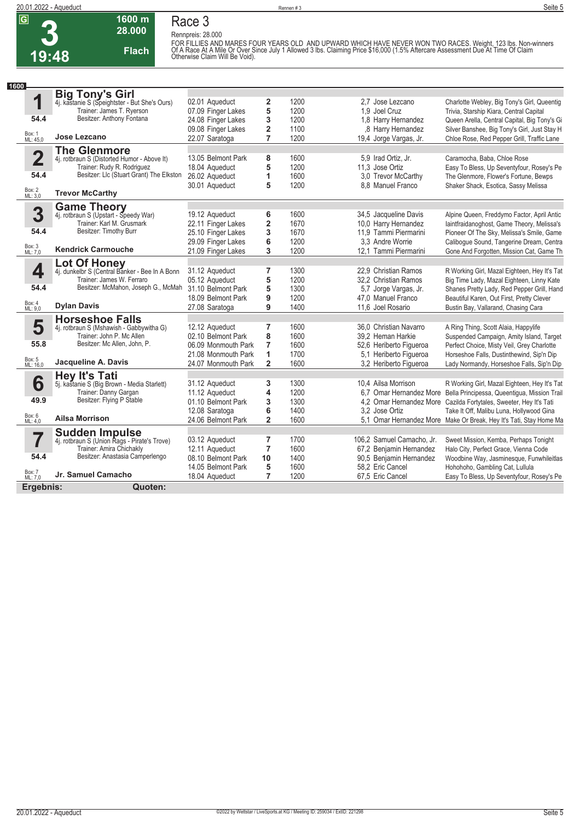**Race 3 Rennpreis: 28.000**



# **1600 m 28.000**

**Flach**

FOR FILLIES AND MARES FOUR YEARS OLD AND UPWARD WHICH HAVE NEVER WON TWO RACES. Weight, 123 lbs. Non-winners<br>Of A Race At A Mile Or Over Since July 1 Allowed 3 lbs. Claiming Price \$16,000 (1.5% Aftercare Assessment Due A

| 1600                    |                                                                |                     |                         |      |                           |                                                                      |
|-------------------------|----------------------------------------------------------------|---------------------|-------------------------|------|---------------------------|----------------------------------------------------------------------|
|                         | <b>Big Tony's Girl</b>                                         |                     |                         |      |                           |                                                                      |
| 1                       | 4j. kastanie S (Speightster - But She's Ours)                  | 02.01 Aqueduct      | 2                       | 1200 | 2.7 Jose Lezcano          | Charlotte Webley, Big Tony's Girl, Queentig                          |
|                         | Trainer: James T. Ryerson                                      | 07.09 Finger Lakes  | 5                       | 1200 | 1,9 Joel Cruz             | Trivia, Starship Kiara, Central Capital                              |
| 54.4                    | Besitzer: Anthony Fontana                                      | 24.08 Finger Lakes  | 3                       | 1200 | 1,8 Harry Hernandez       | Queen Arella, Central Capital, Big Tony's Gi                         |
|                         |                                                                | 09.08 Finger Lakes  | $\overline{\mathbf{c}}$ | 1100 | .8 Harry Hernandez        | Silver Banshee, Big Tony's Girl, Just Stay H                         |
| Box: 1<br>ML: 45,0      | Jose Lezcano                                                   | 22.07 Saratoga      | $\overline{7}$          | 1200 | 19,4 Jorge Vargas, Jr.    | Chloe Rose, Red Pepper Grill, Traffic Lane                           |
|                         | <b>The Glenmore</b>                                            |                     |                         |      |                           |                                                                      |
| $\overline{\mathbf{2}}$ | 4j. rotbraun S (Distorted Humor - Above It)                    | 13.05 Belmont Park  | 8                       | 1600 | 5.9 Irad Ortiz, Jr.       | Caramocha, Baba, Chloe Rose                                          |
|                         | Trainer: Rudy R. Rodriguez                                     | 18.04 Aqueduct      | 5                       | 1200 | 11.3 Jose Ortiz           | Easy To Bless, Up Seventyfour, Rosey's Pe                            |
| 54.4                    | Besitzer: Llc (Stuart Grant) The Elkston                       | 26.02 Aqueduct      | 1                       | 1600 | 3.0 Trevor McCarthy       | The Glenmore, Flower's Fortune, Bewps                                |
|                         |                                                                | 30.01 Aqueduct      | 5                       | 1200 | 8.8 Manuel Franco         | Shaker Shack, Esotica, Sassy Melissa                                 |
| Box: 2<br>ML: 3,0       | <b>Trevor McCarthy</b>                                         |                     |                         |      |                           |                                                                      |
|                         | <b>Game Theory</b><br>4j. rotbraun S (Upstart - Speedy War)    |                     |                         |      |                           |                                                                      |
| 3                       |                                                                | 19.12 Aqueduct      | 6                       | 1600 | 34,5 Jacqueline Davis     | Alpine Queen, Freddymo Factor, April Antic                           |
|                         | Trainer: Karl M. Grusmark                                      | 22.11 Finger Lakes  | 2                       | 1670 | 10,0 Harry Hernandez      | laintfraidanoghost, Game Theory, Melissa's                           |
| 54.4                    | Besitzer: Timothy Burr                                         | 25.10 Finger Lakes  | 3                       | 1670 | 11.9 Tammi Piermarini     | Pioneer Of The Sky, Melissa's Smile, Game                            |
|                         | <b>Kendrick Carmouche</b>                                      | 29.09 Finger Lakes  | 6                       | 1200 | 3.3 Andre Worrie          | Caliboque Sound, Tangerine Dream, Centra                             |
| Box: 3<br>ML: 7,0       |                                                                | 21.09 Finger Lakes  | 3                       | 1200 | 12.1 Tammi Piermarini     | Gone And Forgotten, Mission Cat, Game Th                             |
|                         | Lot Of Honey<br>4j. dunkelbr S (Central Banker - Bee In A Bonn |                     |                         |      |                           |                                                                      |
| 4                       |                                                                | 31.12 Aqueduct      | 7                       | 1300 | 22.9 Christian Ramos      | R Working Girl, Mazal Eighteen, Hey It's Tat                         |
|                         | Trainer: James W. Ferraro                                      | 05.12 Aqueduct      | 5                       | 1200 | 32.2 Christian Ramos      | Big Time Lady, Mazal Eighteen, Linny Kate                            |
| 54.4                    | Besitzer: McMahon, Joseph G., McMah                            | 31.10 Belmont Park  | 5                       | 1300 | 5,7 Jorge Vargas, Jr.     | Shanes Pretty Lady, Red Pepper Grill, Hand                           |
| Box: 4                  |                                                                | 18.09 Belmont Park  | 9                       | 1200 | 47,0 Manuel Franco        | Beautiful Karen, Out First, Pretty Clever                            |
| ML: 9,0                 | <b>Dylan Davis</b>                                             | 27.08 Saratoga      | 9                       | 1400 | 11.6 Joel Rosario         | Bustin Bay, Vallarand, Chasing Cara                                  |
|                         | <b>Horseshoe Falls</b>                                         |                     |                         |      |                           |                                                                      |
| 5                       | 4j. rotbraun S (Mshawish - Gabbywitha G)                       | 12.12 Aqueduct      | 7                       | 1600 | 36,0 Christian Navarro    | A Ring Thing, Scott Alaia, Happylife                                 |
|                         | Trainer: John P. Mc Allen                                      | 02.10 Belmont Park  | 8                       | 1600 | 39.2 Heman Harkie         | Suspended Campaign, Amity Island, Target                             |
| 55.8                    | Besitzer: Mc Allen, John, P.                                   | 06.09 Monmouth Park | 7                       | 1600 | 52,6 Heriberto Figueroa   | Perfect Choice, Misty Veil, Grey Charlotte                           |
|                         |                                                                | 21.08 Monmouth Park | 1                       | 1700 | 5.1 Heriberto Figueroa    | Horseshoe Falls, Dustinthewind, Sip'n Dip                            |
| Box: 5<br>ML: 16,0      | Jacqueline A. Davis                                            | 24.07 Monmouth Park | $\overline{\mathbf{2}}$ | 1600 | 3,2 Heriberto Figueroa    | Lady Normandy, Horseshoe Falls, Sip'n Dip                            |
|                         | <b>Hey It's Tati</b>                                           |                     |                         |      |                           |                                                                      |
| 6                       | 5j. kastanie S (Big Brown - Media Starlett)                    | 31.12 Aqueduct      | 3                       | 1300 | 10.4 Ailsa Morrison       | R Working Girl, Mazal Eighteen, Hey It's Tat                         |
|                         | Trainer: Danny Gargan                                          | 11.12 Aqueduct      | 4                       | 1200 |                           | 6,7 Omar Hernandez More Bella Principessa, Queentigua, Mission Trail |
| 49.9                    | Besitzer: Flying P Stable                                      | 01.10 Belmont Park  | 3                       | 1300 |                           | 4,2 Omar Hernandez More Cazilda Fortytales, Sweeter, Hey It's Tati   |
|                         |                                                                | 12.08 Saratoga      | 6                       | 1400 | 3,2 Jose Ortiz            | Take It Off, Malibu Luna, Hollywood Gina                             |
| Box: 6<br>ML: 4,0       | <b>Ailsa Morrison</b>                                          | 24.06 Belmont Park  | $\overline{2}$          | 1600 |                           | 5,1 Omar Hernandez More Make Or Break, Hey It's Tati, Stay Home Ma   |
|                         | <b>Sudden Impulse</b>                                          |                     |                         |      |                           |                                                                      |
| 7                       | 4j. rotbraun S (Union Rags - Pirate's Trove)                   | 03.12 Aqueduct      | 7                       | 1700 | 106,2 Samuel Camacho, Jr. | Sweet Mission, Kemba, Perhaps Tonight                                |
|                         | Trainer: Amira Chichakly                                       | 12.11 Aqueduct      | $\overline{7}$          | 1600 | 67,2 Benjamin Hernandez   | Halo City, Perfect Grace, Vienna Code                                |
| 54.4                    | Besitzer: Anastasia Camperlengo                                | 08.10 Belmont Park  | 10                      | 1400 | 90,5 Benjamin Hernandez   | Woodbine Way, Jasminesque, Funwhileitlas                             |
|                         |                                                                | 14.05 Belmont Park  | 5                       | 1600 | 58,2 Eric Cancel          | Hohohoho, Gambling Cat, Lullula                                      |
| Box: 7<br>ML: 7,0       | Jr. Samuel Camacho                                             | 18.04 Aqueduct      | $\overline{7}$          | 1200 | 67,5 Eric Cancel          | Easy To Bless, Up Seventyfour, Rosey's Pe                            |
| Ergebnis:               | Quoten:                                                        |                     |                         |      |                           |                                                                      |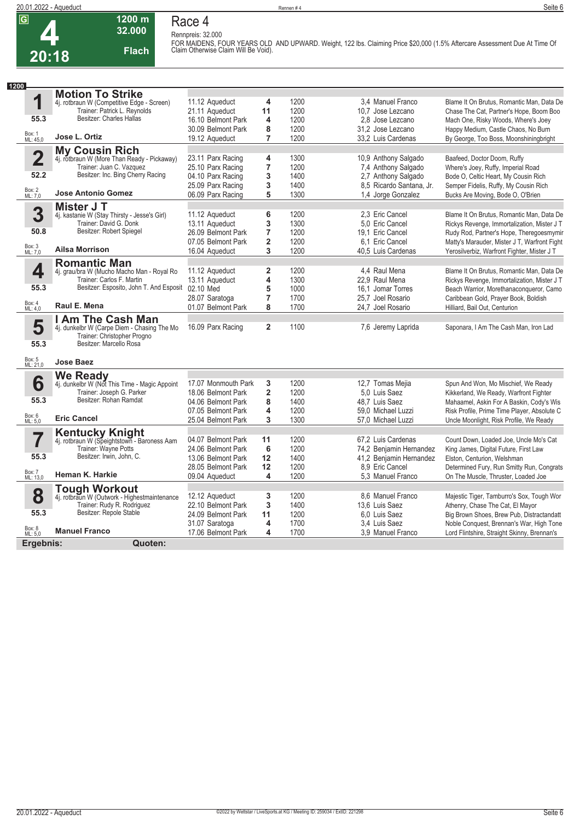

#### **1200 m Race 4 Rennpreis: 32.000**

**32.000 Flach**

**FOR MAIDENS, FOUR YEARS OLD AND UPWARD. Weight, 122 lbs. Claiming Price \$20,000 (1.5% Aftercare Assessment Due At Time Of Claim Otherwise Claim Will Be Void).** 

| 1200               |                                                                            |                     |                              |              |                          |                                                                                  |
|--------------------|----------------------------------------------------------------------------|---------------------|------------------------------|--------------|--------------------------|----------------------------------------------------------------------------------|
|                    | <b>Motion To Strike</b>                                                    |                     |                              |              |                          |                                                                                  |
| 1                  | 4j. rotbraun W (Competitive Edge - Screen)                                 | 11.12 Aqueduct      | 4                            | 1200         | 3.4 Manuel Franco        | Blame It On Brutus, Romantic Man, Data De                                        |
|                    | Trainer: Patrick L. Reynolds                                               | 21.11 Aqueduct      | 11                           | 1200         | 10,7 Jose Lezcano        | Chase The Cat, Partner's Hope, Boom Boo                                          |
| 55.3               | Besitzer: Charles Hallas                                                   | 16.10 Belmont Park  | 4                            | 1200         | 2.8 Jose Lezcano         | Mach One, Risky Woods, Where's Joey                                              |
| Box: 1             |                                                                            | 30.09 Belmont Park  | 8                            | 1200         | 31.2 Jose Lezcano        | Happy Medium, Castle Chaos, No Burn                                              |
| ML: 45,0           | Jose L. Ortiz                                                              | 19.12 Aqueduct      | 7                            | 1200         | 33.2 Luis Cardenas       | By George, Too Boss, Moonshiningbright                                           |
|                    | <b>My Cousin Rich</b>                                                      |                     |                              |              |                          |                                                                                  |
| $\overline{2}$     | 4j. rotbraun W (More Than Ready - Pickaway)                                | 23.11 Parx Racing   | 4                            | 1300         | 10.9 Anthony Salgado     | Baafeed, Doctor Doom, Ruffy                                                      |
|                    | Trainer: Juan C. Vazquez                                                   | 25.10 Parx Racing   | $\overline{7}$               | 1200         | 7,4 Anthony Salgado      | Where's Joey, Ruffy, Imperial Road                                               |
| 52.2               | Besitzer: Inc. Bing Cherry Racing                                          | 04.10 Parx Racing   | 3                            | 1400         | 2,7 Anthony Salgado      | Bode O, Celtic Heart, My Cousin Rich                                             |
|                    |                                                                            | 25.09 Parx Racing   | 3                            | 1400         | 8,5 Ricardo Santana, Jr. | Semper Fidelis, Ruffy, My Cousin Rich                                            |
| Box: 2<br>ML: 7,0  | <b>Jose Antonio Gomez</b>                                                  | 06.09 Parx Racing   | 5                            | 1300         | 1.4 Jorge Gonzalez       | Bucks Are Moving, Bode O, O'Brien                                                |
|                    | Mister J T                                                                 |                     |                              |              |                          |                                                                                  |
| 3                  | 4j. kastanie W (Stay Thirsty - Jesse's Girl)                               | 11.12 Aqueduct      | 6                            | 1200         | 2.3 Eric Cancel          | Blame It On Brutus, Romantic Man, Data De                                        |
|                    | Trainer: David G. Donk                                                     | 13.11 Aqueduct      | 3                            | 1300         | 5.0 Eric Cancel          | Rickys Revenge, Immortalization, Mister J T                                      |
| 50.8               | Besitzer: Robert Spiegel                                                   | 26.09 Belmont Park  | $\overline{7}$               | 1200         | 19,1 Eric Cancel         | Rudy Rod, Partner's Hope, Theregoesmymir                                         |
|                    |                                                                            | 07.05 Belmont Park  | $\overline{2}$               | 1200         | 6.1 Eric Cancel          | Matty's Marauder, Mister J T, Warfront Fight                                     |
| Box: 3<br>ML: 7,0  | <b>Ailsa Morrison</b>                                                      | 16.04 Aqueduct      | 3                            | 1200         | 40.5 Luis Cardenas       | Yerosilverbiz, Warfront Fighter, Mister J T                                      |
|                    |                                                                            |                     |                              |              |                          |                                                                                  |
| 4                  | <b>Romantic Man</b><br>4j. grau/bra W (Mucho Macho Man - Royal Ro          | 11.12 Aqueduct      | $\overline{\mathbf{2}}$      | 1200         | 4.4 Raul Mena            | Blame It On Brutus, Romantic Man, Data De                                        |
|                    | Trainer: Carlos F. Martin                                                  | 13.11 Aqueduct      | 4                            | 1300         | 22.9 Raul Mena           | Rickys Revenge, Immortalization, Mister J T                                      |
| 55.3               | Besitzer: Esposito, John T. And Esposit 02.10 Med                          |                     | 5                            | 1000         | 16,1 Jomar Torres        | Beach Warrior, Morethanaconqueror, Camo                                          |
|                    |                                                                            | 28.07 Saratoga      | $\overline{7}$               | 1700         | 25.7 Joel Rosario        | Caribbean Gold, Prayer Book, Boldish                                             |
| Box: 4<br>ML: 4,0  | Raul E. Mena                                                               | 01.07 Belmont Park  | 8                            | 1700         | 24.7 Joel Rosario        | Hilliard, Bail Out, Centurion                                                    |
|                    |                                                                            |                     |                              |              |                          |                                                                                  |
|                    | I Am The Cash Man                                                          | 16.09 Parx Racing   | $\overline{2}$               | 1100         | 7,6 Jeremy Laprida       |                                                                                  |
| 5                  | 4j. dunkelbr W (Carpe Diem - Chasing The Mo<br>Trainer: Christopher Progno |                     |                              |              |                          | Saponara, I Am The Cash Man, Iron Lad                                            |
| 55.3               | Besitzer: Marcello Rosa                                                    |                     |                              |              |                          |                                                                                  |
|                    |                                                                            |                     |                              |              |                          |                                                                                  |
| Box: 5<br>ML: 21,0 | <b>Jose Baez</b>                                                           |                     |                              |              |                          |                                                                                  |
|                    |                                                                            |                     |                              |              |                          |                                                                                  |
| 6                  | We Ready<br>4j. dunkelbr W (Not This Time - Magic Appoint                  | 17.07 Monmouth Park | 3                            | 1200         | 12,7 Tomas Mejia         | Spun And Won, Mo Mischief, We Ready                                              |
|                    | Trainer: Joseph G. Parker                                                  | 18.06 Belmont Park  | $\overline{2}$               | 1200         | 5.0 Luis Saez            | Kikkerland, We Ready, Warfront Fighter                                           |
| 55.3               | Besitzer: Rohan Ramdat                                                     | 04.06 Belmont Park  | 8                            | 1400         | 48.7 Luis Saez           | Mahaamel, Askin For A Baskin, Cody's Wis                                         |
|                    |                                                                            | 07.05 Belmont Park  | 4                            | 1200         | 59.0 Michael Luzzi       | Risk Profile, Prime Time Player, Absolute C                                      |
| Box: 6<br>ML: 5,0  | <b>Eric Cancel</b>                                                         | 25.04 Belmont Park  | 3                            | 1300         | 57.0 Michael Luzzi       | Uncle Moonlight, Risk Profile, We Ready                                          |
|                    |                                                                            |                     |                              |              |                          |                                                                                  |
|                    | <b>Kentucky Knight</b>                                                     | 04.07 Belmont Park  |                              | 1200         | 67.2 Luis Cardenas       |                                                                                  |
|                    | 4j. rotbraun W (Speightstown - Baroness Aam<br>Trainer: Wayne Potts        | 24.06 Belmont Park  | 11<br>6                      | 1200         | 74,2 Benjamin Hernandez  | Count Down, Loaded Joe, Uncle Mo's Cat                                           |
| 55.3               | Besitzer: Irwin, John, C.                                                  | 13.06 Belmont Park  | 12                           | 1400         | 41,2 Benjamin Hernandez  | King James, Digital Future, First Law                                            |
|                    |                                                                            | 28.05 Belmont Park  | 12                           | 1200         | 8.9 Eric Cancel          | Elston, Centurion, Welshman                                                      |
| Box: 7             | Heman K. Harkie                                                            | 09.04 Aqueduct      | 4                            | 1200         | 5.3 Manuel Franco        | Determined Fury, Run Smitty Run, Congrats<br>On The Muscle, Thruster, Loaded Joe |
| ML: 13,0           |                                                                            |                     |                              |              |                          |                                                                                  |
|                    | <b>Tough Workout</b>                                                       |                     |                              |              |                          |                                                                                  |
| 8                  | 4j. rotbraun W (Outwork - Highestmaintenance                               | 12.12 Aqueduct      | 3                            | 1200         | 8.6 Manuel Franco        | Majestic Tiger, Tamburro's Sox, Tough Wor                                        |
| 55.3               | Trainer: Rudy R. Rodriguez<br>Besitzer: Repole Stable                      | 22.10 Belmont Park  | 3                            | 1400         | 13.6 Luis Saez           | Athenry, Chase The Cat, El Mayor                                                 |
|                    |                                                                            | 24.09 Belmont Park  | 11                           | 1200         | 6.0 Luis Saez            | Big Brown Shoes, Brew Pub, Distractandatt                                        |
| Box: 8<br>ML: 5,0  | <b>Manuel Franco</b>                                                       | 31.07 Saratoga      | 4<br>$\overline{\mathbf{4}}$ | 1700<br>1700 | 3.4 Luis Saez            | Noble Conquest, Brennan's War, High Tone                                         |
|                    |                                                                            | 17.06 Belmont Park  |                              |              | 3.9 Manuel Franco        | Lord Flintshire, Straight Skinny, Brennan's                                      |
| Ergebnis:          | Quoten:                                                                    |                     |                              |              |                          |                                                                                  |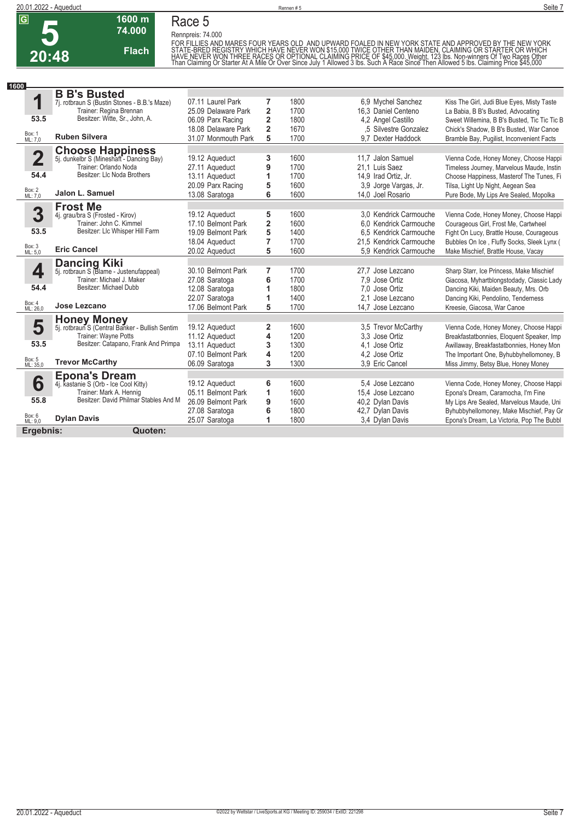# **5 20:48**

**Race 5 Rennpreis: 74.000**

**1600 m 74.000** 

**Flach**

FOR FILLIES AND MARES FOUR YEARS OLD AND UPWARD FOALED IN NEW YORK STATE AND APPROVED BY THE NEW YORK<br>STATE-BRED REGISTRY WHICH HAVE NEVER WON \$15,000 TWICE OTHER THAN MAIDEN, CLAIMING OR STARTER OR WHICH<br>HAVE NEVER WON T

| 1600                    |                                                                     |                     |                         |      |                         |                                              |
|-------------------------|---------------------------------------------------------------------|---------------------|-------------------------|------|-------------------------|----------------------------------------------|
|                         | <b>B B's Busted</b>                                                 |                     |                         |      |                         |                                              |
| 1                       | 7j. rotbraun S (Bustin Stones - B.B.'s Maze)                        | 07.11 Laurel Park   | $\overline{7}$          | 1800 | 6.9 Mychel Sanchez      | Kiss The Girl, Judi Blue Eyes, Misty Taste   |
|                         | Trainer: Regina Brennan                                             | 25.09 Delaware Park | $\overline{2}$          | 1700 | 16.3 Daniel Centeno     | La Babia, B B's Busted, Advocating           |
| 53.5                    | Besitzer: Witte, Sr., John, A.                                      | 06.09 Parx Racing   | $\overline{\mathbf{2}}$ | 1800 | 4,2 Angel Castillo      | Sweet Willemina, B B's Busted, Tic Tic Tic B |
|                         |                                                                     | 18.08 Delaware Park | $\overline{2}$          | 1670 | .5 Silvestre Gonzalez   | Chick's Shadow, B B's Busted, War Canoe      |
| Box: 1<br>ML: 7,0       | <b>Ruben Silvera</b>                                                | 31.07 Monmouth Park | 5                       | 1700 | 9.7 Dexter Haddock      | Bramble Bay, Pugilist, Inconvenient Facts    |
|                         |                                                                     |                     |                         |      |                         |                                              |
| $\overline{\mathbf{2}}$ | <b>Choose Happiness</b><br>5j. dunkelbr S (Mineshaft - Dancing Bay) | 19.12 Aqueduct      | 3                       | 1600 | 11.7 Jalon Samuel       | Vienna Code, Honey Money, Choose Happi       |
|                         | Trainer: Orlando Noda                                               | 27.11 Aqueduct      | 9                       | 1700 | 21,1 Luis Saez          | Timeless Journey, Marvelous Maude, Instin    |
| 54.4                    | Besitzer: Llc Noda Brothers                                         | 13.11 Aqueduct      | 1                       | 1700 | 14,9 Irad Ortiz, Jr.    | Choose Happiness, Masterof The Tunes, Fi     |
|                         |                                                                     | 20.09 Parx Racing   | 5                       | 1600 | 3,9 Jorge Vargas, Jr.   | Tilsa, Light Up Night, Aegean Sea            |
| Box: 2<br>ML: 7,0       | Jalon L. Samuel                                                     | 13.08 Saratoga      | 6                       | 1600 | 14.0 Joel Rosario       | Pure Bode, My Lips Are Sealed, Mopolka       |
|                         | <b>Frost Me</b>                                                     |                     |                         |      |                         |                                              |
| 3                       | 4j. grau/bra S (Frosted - Kirov)                                    | 19.12 Aqueduct      | 5                       | 1600 | 3.0 Kendrick Carmouche  | Vienna Code, Honey Money, Choose Happi       |
|                         | Trainer: John C. Kimmel                                             | 17.10 Belmont Park  | $\overline{2}$          | 1600 | 6.0 Kendrick Carmouche  | Courageous Girl, Frost Me, Cartwheel         |
| 53.5                    | Besitzer: Llc Whisper Hill Farm                                     | 19.09 Belmont Park  | 5                       | 1400 | 6.5 Kendrick Carmouche  | Fight On Lucy, Brattle House, Courageous     |
|                         |                                                                     | 18.04 Aqueduct      | $\overline{7}$          | 1700 | 21,5 Kendrick Carmouche | Bubbles On Ice, Fluffy Socks, Sleek Lynx (   |
| Box: 3<br>ML: 5,0       | <b>Eric Cancel</b>                                                  | 20.02 Aqueduct      | 5                       | 1600 | 5.9 Kendrick Carmouche  | Make Mischief, Brattle House, Vacay          |
|                         | <b>Dancing Kiki</b>                                                 |                     |                         |      |                         |                                              |
| 4                       | 5j. rotbraun S (Blame - Justenufappeal)                             | 30.10 Belmont Park  | $\overline{7}$          | 1700 | 27.7 Jose Lezcano       | Sharp Starr, Ice Princess, Make Mischief     |
|                         | Trainer: Michael J. Maker                                           | 27.08 Saratoga      | 6                       | 1700 | 7.9 Jose Ortiz          | Giacosa, Myhartblongstodady, Classic Lady    |
| 54.4                    | Besitzer: Michael Dubb                                              | 12.08 Saratoga      | 1                       | 1800 | 7,0 Jose Ortiz          | Dancing Kiki, Maiden Beauty, Mrs. Orb        |
|                         |                                                                     | 22.07 Saratoga      |                         | 1400 | 2.1 Jose Lezcano        | Dancing Kiki, Pendolino, Tenderness          |
| Box: 4<br>ML: 26,0      | Jose Lezcano                                                        | 17.06 Belmont Park  | 5                       | 1700 | 14.7 Jose Lezcano       | Kreesie, Giacosa, War Canoe                  |
|                         | <b>Honey Money</b>                                                  |                     |                         |      |                         |                                              |
| 5                       | 5j. rotbraun S (Central Banker - Bullish Sentim                     | 19.12 Aqueduct      | $\mathbf{2}$            | 1600 | 3,5 Trevor McCarthy     | Vienna Code, Honey Money, Choose Happi       |
|                         | Trainer: Wayne Potts                                                | 11.12 Aqueduct      | 4                       | 1200 | 3.3 Jose Ortiz          | Breakfastatbonnies, Eloquent Speaker, Imp    |
| 53.5                    | Besitzer: Catapano, Frank And Primpa                                | 13.11 Aqueduct      | 3                       | 1300 | 4.1 Jose Ortiz          | Awillaway, Breakfastatbonnies, Honey Mon     |
|                         |                                                                     | 07.10 Belmont Park  | $\overline{\mathbf{4}}$ | 1200 | 4.2 Jose Ortiz          | The Important One, Byhubbyhellomoney, B      |
| Box: 5<br>ML: 35,0      | <b>Trevor McCarthy</b>                                              | 06.09 Saratoga      | 3                       | 1300 | 3.9 Eric Cancel         | Miss Jimmy, Betsy Blue, Honey Money          |
|                         | <b>Epona's Dream</b>                                                |                     |                         |      |                         |                                              |
| 6                       | 4j. kastanie S (Orb - Ice Cool Kitty)                               | 19.12 Aqueduct      | 6                       | 1600 | 5.4 Jose Lezcano        | Vienna Code, Honey Money, Choose Happi       |
|                         | Trainer: Mark A. Hennig                                             | 05.11 Belmont Park  | 1                       | 1600 | 15,4 Jose Lezcano       | Epona's Dream, Caramocha, I'm Fine           |
| 55.8                    | Besitzer: David Philmar Stables And M                               | 26.09 Belmont Park  | 9                       | 1600 | 40,2 Dylan Davis        | My Lips Are Sealed, Marvelous Maude, Uni     |
|                         |                                                                     | 27.08 Saratoga      | 6                       | 1800 | 42,7 Dylan Davis        | Byhubbyhellomoney, Make Mischief, Pay Gr     |
| Box: 6<br>ML: 9,0       | <b>Dylan Davis</b>                                                  | 25.07 Saratoga      | 1                       | 1800 | 3.4 Dylan Davis         | Epona's Dream, La Victoria, Pop The Bubbl    |
| Ergebnis:               | Quoten:                                                             |                     |                         |      |                         |                                              |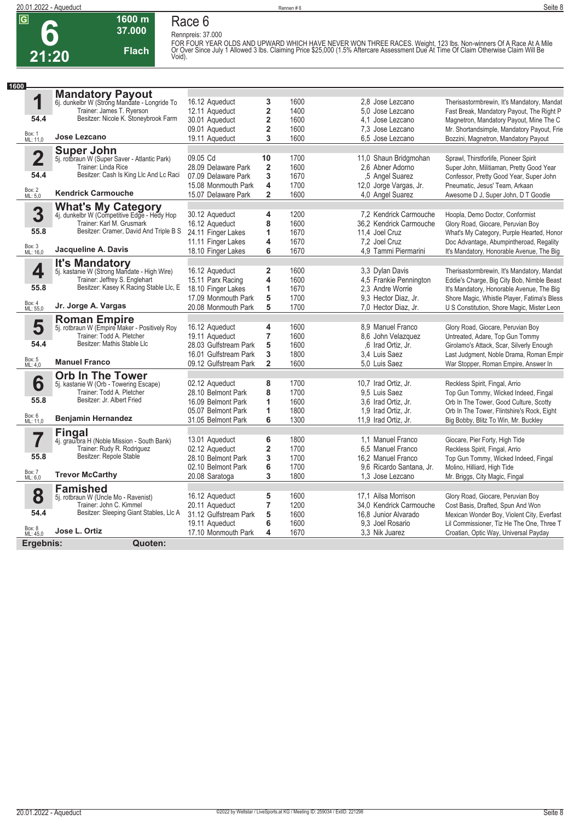**6**

**21:20**

## **Race 6 Rennpreis: 37.000**



**1600 m**

FOR FOUR YEAR OLDS AND UPWARD WHICH HAVE NEVER WON THREE RACES. Weight, 123 lbs. Non-winners Of A Race At A Mile<br>Or Over Since July 1 Allowed 3 lbs. Claiming Price \$25,000 (1.5% Aftercare Assessment Due At Time Of Claim Ot

| 1600                    |                                                                      |                       |                         |      |                          |                                             |
|-------------------------|----------------------------------------------------------------------|-----------------------|-------------------------|------|--------------------------|---------------------------------------------|
|                         | <b>Mandatory Payout</b>                                              |                       |                         |      |                          |                                             |
| 1                       | 6j. dunkelbr W (Strong Mandate - Longride To                         | 16.12 Aqueduct        | 3                       | 1600 | 2.8 Jose Lezcano         | Therisastormbrewin, It's Mandatory, Mandat  |
|                         | Trainer: James T. Ryerson                                            | 12.11 Aqueduct        | $\overline{\mathbf{2}}$ | 1400 | 5.0 Jose Lezcano         | Fast Break, Mandatory Payout, The Right P   |
| 54.4                    | Besitzer: Nicole K. Stoneybrook Farm                                 | 30.01 Aqueduct        | $\overline{\mathbf{2}}$ | 1600 | 4.1 Jose Lezcano         | Magnetron, Mandatory Payout, Mine The C     |
|                         |                                                                      | 09.01 Aqueduct        | $\overline{\mathbf{2}}$ | 1600 | 7.3 Jose Lezcano         | Mr. Shortandsimple, Mandatory Payout, Frie  |
| Box: 1<br>ML: 11,0      | Jose Lezcano                                                         | 19.11 Aqueduct        | 3                       | 1600 | 6,5 Jose Lezcano         | Bozzini, Magnetron, Mandatory Payout        |
|                         | <b>Super John</b>                                                    |                       |                         |      |                          |                                             |
| $\overline{\mathbf{2}}$ | 5j. rotbraun W (Super Saver - Atlantic Park)                         | 09.05 Cd              | 10                      | 1700 | 11,0 Shaun Bridgmohan    | Sprawl, Thirstforlife, Pioneer Spirit       |
|                         | Trainer: Linda Rice                                                  | 28.09 Delaware Park   | $\overline{\mathbf{2}}$ | 1600 | 2.6 Abner Adorno         | Super John, Militiaman, Pretty Good Year    |
| 54.4                    | Besitzer: Cash Is King Llc And Lc Raci                               | 07.09 Delaware Park   | 3                       | 1670 | .5 Angel Suarez          | Confessor, Pretty Good Year, Super John     |
|                         |                                                                      | 15.08 Monmouth Park   | 4                       | 1700 | 12,0 Jorge Vargas, Jr.   | Pneumatic, Jesus' Team, Arkaan              |
| Box: 2<br>ML: 5,0       | <b>Kendrick Carmouche</b>                                            | 15.07 Delaware Park   | $\overline{\mathbf{2}}$ | 1600 | 4.0 Angel Suarez         | Awesome D J, Super John, D T Goodie         |
|                         | <b>What's My Category</b>                                            |                       |                         |      |                          |                                             |
| 3                       | 4j. dunkelbr W (Competitive Edge - Hedy Hop                          | 30.12 Aqueduct        | 4                       | 1200 | 7.2 Kendrick Carmouche   | Hoopla, Demo Doctor, Conformist             |
|                         | Trainer: Karl M. Grusmark                                            | 16.12 Aqueduct        | 8                       | 1600 | 36,2 Kendrick Carmouche  | Glory Road, Giocare, Peruvian Boy           |
| 55.8                    | Besitzer: Cramer, David And Triple B S                               | 24.11 Finger Lakes    | 1                       | 1670 | 11,4 Joel Cruz           | What's My Category, Purple Hearted, Honor   |
|                         |                                                                      | 11.11 Finger Lakes    | 4                       | 1670 | 7.2 Joel Cruz            | Doc Advantage, Abumpintheroad, Regality     |
| Box: 3<br>ML: 16,0      | Jacqueline A. Davis                                                  | 18.10 Finger Lakes    | 6                       | 1670 | 4.9 Tammi Piermarini     | It's Mandatory, Honorable Avenue, The Big   |
|                         |                                                                      |                       |                         |      |                          |                                             |
| 4                       | <b>It's Mandatory</b><br>5j. kastanie W (Strong Mandate - High Wire) | 16.12 Aqueduct        | $\overline{\mathbf{2}}$ | 1600 | 3.3 Dylan Davis          | Therisastormbrewin, It's Mandatory, Mandat  |
|                         | Trainer: Jeffrey S. Englehart                                        | 15.11 Parx Racing     | 4                       | 1600 | 4,5 Frankie Pennington   | Eddie's Charge, Big City Bob, Nimble Beast  |
| 55.8                    | Besitzer: Kasey K Racing Stable Llc, E                               | 18.10 Finger Lakes    | 1                       | 1670 | 2,3 Andre Worrie         | It's Mandatory, Honorable Avenue, The Big   |
|                         |                                                                      | 17.09 Monmouth Park   | 5                       | 1700 | 9.3 Hector Diaz, Jr.     | Shore Magic, Whistle Player, Fatima's Bless |
| Box: 4<br>ML: 55,0      | Jr. Jorge A. Vargas                                                  | 20.08 Monmouth Park   | 5                       | 1700 | 7,0 Hector Diaz, Jr.     | U S Constitution, Shore Magic, Mister Leon  |
|                         | <b>Roman Empire</b>                                                  |                       |                         |      |                          |                                             |
| 5                       | 5j. rotbraun W (Empire Maker - Positively Roy                        | 16.12 Aqueduct        | 4                       | 1600 | 8.9 Manuel Franco        | Glory Road, Giocare, Peruvian Boy           |
|                         | Trainer: Todd A. Pletcher                                            | 19.11 Aqueduct        | $\overline{7}$          | 1600 | 8.6 John Velazquez       | Untreated, Adare, Top Gun Tommy             |
| 54.4                    | Besitzer: Mathis Stable Llc                                          | 28.03 Gulfstream Park | 5                       | 1600 | .6 Irad Ortiz, Jr.       | Girolamo's Attack, Scar, Silverly Enough    |
|                         |                                                                      | 16.01 Gulfstream Park | 3                       | 1800 | 3.4 Luis Saez            | Last Judgment, Noble Drama, Roman Empir     |
| Box: 5<br>ML: 4,0       | <b>Manuel Franco</b>                                                 | 09.12 Gulfstream Park | $\overline{2}$          | 1600 | 5.0 Luis Saez            | War Stopper, Roman Empire, Answer In        |
|                         | <b>Orb In The Tower</b>                                              |                       |                         |      |                          |                                             |
| 6                       | 5j. kastanie W (Orb - Towering Escape)                               | 02.12 Aqueduct        | 8                       | 1700 | 10,7 Irad Ortiz, Jr.     | Reckless Spirit, Fingal, Arrio              |
|                         | Trainer: Todd A. Pletcher                                            | 28.10 Belmont Park    | 8                       | 1700 | 9.5 Luis Saez            | Top Gun Tommy, Wicked Indeed, Fingal        |
| 55.8                    | Besitzer: Jr. Albert Fried                                           | 16.09 Belmont Park    | 1                       | 1600 | 3.6 Irad Ortiz, Jr.      | Orb In The Tower, Good Culture, Scotty      |
|                         |                                                                      | 05.07 Belmont Park    | 1                       | 1800 | 1.9 Irad Ortiz. Jr.      | Orb In The Tower, Flintshire's Rock, Eight  |
| Box: 6<br>ML: 11,0      | <b>Benjamin Hernandez</b>                                            | 31.05 Belmont Park    | 6                       | 1300 | 11,9 Irad Ortiz, Jr.     | Big Bobby, Blitz To Win, Mr. Buckley        |
|                         |                                                                      |                       |                         |      |                          |                                             |
|                         | <b>Fingal</b><br>4j. grau/bra H (Noble Mission - South Bank)         | 13.01 Aqueduct        | 6                       | 1800 | 1.1 Manuel Franco        | Giocare, Pier Forty, High Tide              |
|                         | Trainer: Rudy R. Rodriguez                                           | 02.12 Aqueduct        | $\mathbf 2$             | 1700 | 6.5 Manuel Franco        | Reckless Spirit, Fingal, Arrio              |
| 55.8                    | Besitzer: Repole Stable                                              | 28.10 Belmont Park    | 3                       | 1700 | 16,2 Manuel Franco       | Top Gun Tommy, Wicked Indeed, Fingal        |
|                         |                                                                      | 02.10 Belmont Park    | 6                       | 1700 | 9,6 Ricardo Santana, Jr. | Molino, Hilliard, High Tide                 |
| Box: 7<br>ML: 6,0       | <b>Trevor McCarthy</b>                                               | 20.08 Saratoga        | 3                       | 1800 | 1,3 Jose Lezcano         | Mr. Briggs, City Magic, Fingal              |
|                         | <b>Famished</b>                                                      |                       |                         |      |                          |                                             |
| 8                       | 5j. rotbraun W (Uncle Mo - Ravenist)                                 | 16.12 Aqueduct        | 5                       | 1600 | 17.1 Ailsa Morrison      | Glory Road, Giocare, Peruvian Boy           |
|                         | Trainer: John C. Kimmel                                              | 20.11 Aqueduct        | $\overline{7}$          | 1200 | 34.0 Kendrick Carmouche  | Cost Basis, Drafted, Spun And Won           |
| 54.4                    | Besitzer: Sleeping Giant Stables, Llc A                              | 31.12 Gulfstream Park | 5                       | 1600 | 16,8 Junior Alvarado     | Mexican Wonder Boy, Violent City, Everfast  |
|                         |                                                                      | 19.11 Aqueduct        | 6                       | 1600 | 9.3 Joel Rosario         | Lil Commissioner, Tiz He The One, Three T   |
| Box: 8<br>ML: 45,0      | Jose L. Ortiz                                                        | 17.10 Monmouth Park   | $\overline{\mathbf{4}}$ | 1670 | 3,3 Nik Juarez           | Croatian, Optic Way, Universal Payday       |
| Ergebnis:               | Quoten:                                                              |                       |                         |      |                          |                                             |
|                         |                                                                      |                       |                         |      |                          |                                             |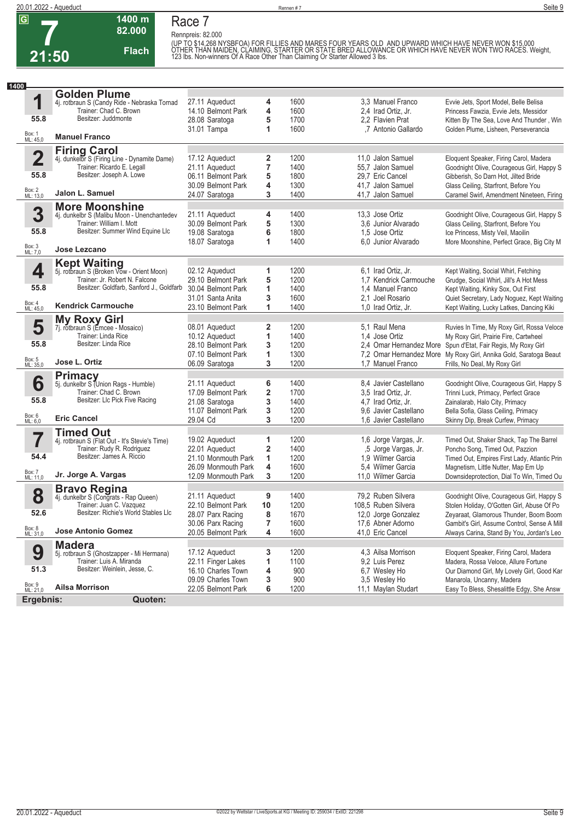

### **Race 7 Rennpreis: 82.000**

**82.000 Flach**

**1400 m**

(UP TO \$14.268 NYSBFOA) FOR FILLIES AND MARES FOUR YEARS OLD AND UPWARD WHICH HAVE NEVER WON \$15.000<br>OTHER THAN MAIDEN, CLAIMING, STARTER OR STATE BRED ALLOWANCE OR WHICH HAVE NEVER WON TWO RACES. Weight,<br>123 Ibs. Non-win

| 1400                    |                                                                     |                     |        |      |                        |                                                                   |
|-------------------------|---------------------------------------------------------------------|---------------------|--------|------|------------------------|-------------------------------------------------------------------|
|                         | <b>Golden Plume</b>                                                 |                     |        |      |                        |                                                                   |
| 1                       | 4j. rotbraun S (Candy Ride - Nebraska Tornad                        | 27.11 Aqueduct      | 4      | 1600 | 3.3 Manuel Franco      | Evvie Jets, Sport Model, Belle Belisa                             |
|                         | Trainer: Chad C. Brown                                              | 14.10 Belmont Park  | 4      | 1600 | 2.4 Irad Ortiz, Jr.    | Princess Fawzia, Evvie Jets, Messidor                             |
| 55.8                    | Besitzer: Juddmonte                                                 | 28.08 Saratoga      | 5      | 1700 | 2.2 Flavien Prat       | Kitten By The Sea, Love And Thunder, Win                          |
|                         |                                                                     | 31.01 Tampa         | 1      | 1600 | ,7 Antonio Gallardo    | Golden Plume, Lisheen, Perseverancia                              |
| Box: 1<br>ML: 45,0      | <b>Manuel Franco</b>                                                |                     |        |      |                        |                                                                   |
|                         |                                                                     |                     |        |      |                        |                                                                   |
| $\overline{\mathbf{2}}$ | <b>Firing Carol</b><br>4j. dunkelbr S (Firing Line - Dynamite Dame) | 17.12 Aqueduct      | 2      | 1200 | 11,0 Jalon Samuel      | Eloquent Speaker, Firing Carol, Madera                            |
|                         | Trainer: Ricardo E. Legall                                          | 21.11 Aqueduct      | 7      | 1400 | 55,7 Jalon Samuel      | Goodnight Olive, Courageous Girl, Happy S                         |
| 55.8                    | Besitzer: Joseph A. Lowe                                            | 06.11 Belmont Park  | 5      | 1800 | 29.7 Eric Cancel       | Gibberish, So Darn Hot, Jilted Bride                              |
|                         |                                                                     |                     |        | 1300 | 41.7 Jalon Samuel      |                                                                   |
| Box: 2<br>ML: 13,0      | Jalon L. Samuel                                                     | 30.09 Belmont Park  | 4<br>3 | 1400 |                        | Glass Ceiling, Starfront, Before You                              |
|                         |                                                                     | 24.07 Saratoga      |        |      | 41,7 Jalon Samuel      | Caramel Swirl, Amendment Nineteen, Firing                         |
|                         | <b>More Moonshine</b>                                               |                     |        |      |                        |                                                                   |
| 3                       | 4j. dunkelbr S (Malibu Moon - Unenchantedev                         | 21.11 Aqueduct      | 4      | 1400 | 13.3 Jose Ortiz        | Goodnight Olive, Courageous Girl, Happy S                         |
|                         | Trainer: William I. Mott                                            | 30.09 Belmont Park  | 5      | 1300 | 3.6 Junior Alvarado    | Glass Ceiling, Starfront, Before You                              |
| 55.8                    | Besitzer: Summer Wind Equine Llc                                    | 19.08 Saratoga      | 6      | 1800 | 1,5 Jose Ortiz         | Ice Princess, Misty Veil, Maoilin                                 |
|                         |                                                                     | 18.07 Saratoga      | 1      | 1400 | 6.0 Junior Alvarado    | More Moonshine, Perfect Grace, Big City M                         |
| Box: 3<br>ML: 7,0       | Jose Lezcano                                                        |                     |        |      |                        |                                                                   |
|                         | <b>Kept Waiting</b>                                                 |                     |        |      |                        |                                                                   |
| 4                       | 5j. rotbraun S (Broken Vow - Orient Moon)                           | 02.12 Aqueduct      | 1      | 1200 | 6.1 Irad Ortiz, Jr.    | Kept Waiting, Social Whirl, Fetching                              |
|                         | Trainer: Jr. Robert N. Falcone                                      | 29.10 Belmont Park  | 5      | 1200 | 1.7 Kendrick Carmouche | Grudge, Social Whirl, Jill's A Hot Mess                           |
| 55.8                    | Besitzer: Goldfarb, Sanford J., Goldfarb                            | 30.04 Belmont Park  | 1      | 1400 | 1.4 Manuel Franco      | Kept Waiting, Kinky Sox, Out First                                |
|                         |                                                                     | 31.01 Santa Anita   | 3      | 1600 | 2.1 Joel Rosario       | Quiet Secretary, Lady Noguez, Kept Waiting                        |
| Box: 4<br>ML: 45,0      | <b>Kendrick Carmouche</b>                                           | 23.10 Belmont Park  | 1      | 1400 | 1,0 Irad Ortiz, Jr.    | Kept Waiting, Lucky Latkes, Dancing Kiki                          |
|                         |                                                                     |                     |        |      |                        |                                                                   |
| 5                       | <b>My Roxy Girl</b><br>7j. rotbraun S (Emcee - Mosaico)             | 08.01 Aqueduct      | 2      | 1200 | 5.1 Raul Mena          | Ruvies In Time, My Roxy Girl, Rossa Veloce                        |
|                         | Trainer: Linda Rice                                                 | 10.12 Aqueduct      | 1      | 1400 | 1.4 Jose Ortiz         | My Roxy Girl, Prairie Fire, Cartwheel                             |
| 55.8                    | Besitzer: Linda Rice                                                | 28.10 Belmont Park  | 3      | 1200 |                        | 2,4 Omar Hernandez More Spun d'Etat, Fair Regis, My Roxy Girl     |
|                         |                                                                     | 07.10 Belmont Park  | 1      | 1300 |                        | 7,2 Omar Hernandez More My Roxy Girl, Annika Gold, Saratoga Beaut |
| Box: 5<br>ML: 35,0      | Jose L. Ortiz                                                       | 06.09 Saratoga      | 3      | 1200 | 1,7 Manuel Franco      | Frills, No Deal, My Roxy Girl                                     |
|                         |                                                                     |                     |        |      |                        |                                                                   |
| 6                       | <b>Primacy</b>                                                      | 21.11 Aqueduct      | 6      | 1400 | 8,4 Javier Castellano  | Goodnight Olive, Courageous Girl, Happy S                         |
|                         | 5j. dunkelbr S (Union Rags - Humble)<br>Trainer: Chad C. Brown      | 17.09 Belmont Park  | 2      | 1700 | 3.5 Irad Ortiz, Jr.    | Trinni Luck, Primacy, Perfect Grace                               |
| 55.8                    | Besitzer: Llc Pick Five Racing                                      |                     |        | 1400 |                        |                                                                   |
|                         |                                                                     | 21.08 Saratoga      | 3      |      | 4.7 Irad Ortiz, Jr.    | Zainalarab, Halo City, Primacy                                    |
| Box: 6<br>ML: 6,0       | <b>Eric Cancel</b>                                                  | 11.07 Belmont Park  | 3      | 1200 | 9.6 Javier Castellano  | Bella Sofia, Glass Ceiling, Primacy                               |
|                         |                                                                     | 29.04 Cd            | 3      | 1200 | 1.6 Javier Castellano  | Skinny Dip, Break Curfew, Primacy                                 |
|                         | <b>Timed Out</b>                                                    |                     |        |      |                        |                                                                   |
| 7                       | 4j. rotbraun S (Flat Out - It's Stevie's Time)                      | 19.02 Aqueduct      | 1      | 1200 | 1,6 Jorge Vargas, Jr.  | Timed Out, Shaker Shack, Tap The Barrel                           |
|                         | Trainer: Rudy R. Rodriguez                                          | 22.01 Aqueduct      | 2      | 1400 | ,5 Jorge Vargas, Jr.   | Poncho Song, Timed Out, Pazzion                                   |
| 54.4                    | Besitzer: James A. Riccio                                           | 21.10 Monmouth Park | 1      | 1200 | 1,9 Wilmer Garcia      | Timed Out, Empires First Lady, Atlantic Prin                      |
|                         |                                                                     | 26.09 Monmouth Park | 4      | 1600 | 5.4 Wilmer Garcia      | Magnetism, Little Nutter, Map Em Up                               |
| Box: 7<br>ML: 11,0      | Jr. Jorge A. Vargas                                                 | 12.09 Monmouth Park | 3      | 1200 | 11,0 Wilmer Garcia     | Downsideprotection, Dial To Win, Timed Ou                         |
|                         | <b>Bravo Regina</b>                                                 |                     |        |      |                        |                                                                   |
| 8                       | 4j. dunkelbr S (Congrats - Rap Queen)                               | 21.11 Aqueduct      | 9      | 1400 | 79,2 Ruben Silvera     | Goodnight Olive, Courageous Girl, Happy S                         |
|                         | Trainer: Juan C. Vazquez                                            | 22.10 Belmont Park  | 10     | 1200 | 108,5 Ruben Silvera    | Stolen Holiday, O'Gotten Girl, Abuse Of Po                        |
| 52.6                    | Besitzer: Richie's World Stables Llc                                | 28.07 Parx Racing   | 8      | 1670 | 12,0 Jorge Gonzalez    | Zeyaraat, Glamorous Thunder, Boom Boom                            |
|                         |                                                                     | 30.06 Parx Racing   | 7      | 1600 | 17,6 Abner Adorno      | Gambit's Girl, Assume Control, Sense A Mill                       |
| Box: 8<br>ML: 31,0      | <b>Jose Antonio Gomez</b>                                           | 20.05 Belmont Park  | 4      | 1600 | 41,0 Eric Cancel       | Always Carina, Stand By You, Jordan's Leo                         |
|                         | <b>Madera</b>                                                       |                     |        |      |                        |                                                                   |
| 9                       | 5j. rotbraun S (Ghostzapper - Mi Hermana)                           | 17.12 Aqueduct      | 3      | 1200 | 4,3 Ailsa Morrison     | Eloquent Speaker, Firing Carol, Madera                            |
|                         | Trainer: Luis A. Miranda                                            | 22.11 Finger Lakes  | 1      | 1100 | 9,2 Luis Perez         | Madera, Rossa Veloce, Allure Fortune                              |
| 51.3                    | Besitzer: Weinlein, Jesse, C.                                       | 16.10 Charles Town  | 4      | 900  | 6,7 Wesley Ho          | Our Diamond Girl, My Lovely Girl, Good Kar                        |
|                         |                                                                     | 09.09 Charles Town  | 3      | 900  | 3,5 Wesley Ho          | Manarola, Uncanny, Madera                                         |
| Box: 9<br>ML: 21,0      | <b>Ailsa Morrison</b>                                               | 22.05 Belmont Park  | 6      | 1200 | 11,1 Maylan Studart    | Easy To Bless, Shesalittle Edgy, She Answ                         |
| Ergebnis:               | Quoten:                                                             |                     |        |      |                        |                                                                   |
|                         |                                                                     |                     |        |      |                        |                                                                   |